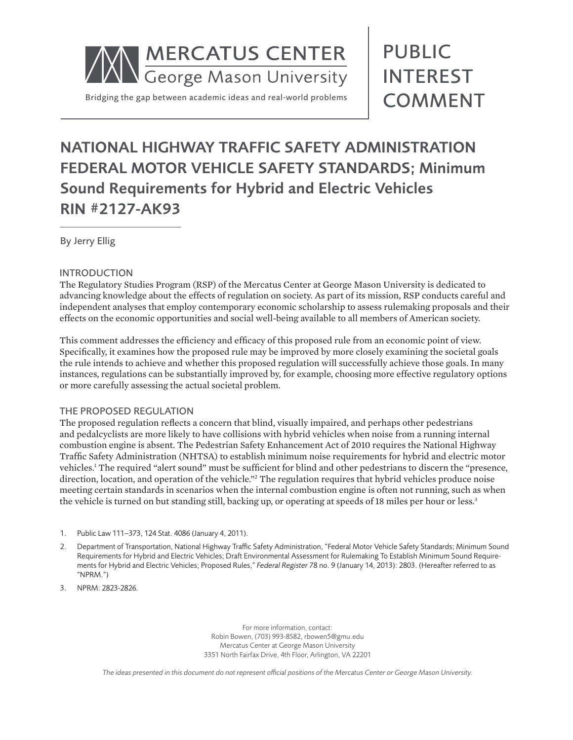

# PUBLIC INTEREST COMMENT

# NATIONAL HIGHWAY TRAFFIC SAFETY ADMINISTRATION FEDERAL MOTOR VEHICLE SAFETY STANDARDS; Minimum Sound Requirements for Hybrid and Electric Vehicles RIN #2127-AK93

By Jerry Ellig

# INTRODUCTION

The Regulatory Studies Program (RSP) of the Mercatus Center at George Mason University is dedicated to advancing knowledge about the effects of regulation on society. As part of its mission, RSP conducts careful and independent analyses that employ contemporary economic scholarship to assess rulemaking proposals and their effects on the economic opportunities and social well-being available to all members of American society.

This comment addresses the efficiency and efficacy of this proposed rule from an economic point of view. Specifically, it examines how the proposed rule may be improved by more closely examining the societal goals the rule intends to achieve and whether this proposed regulation will successfully achieve those goals. In many instances, regulations can be substantially improved by, for example, choosing more effective regulatory options or more carefully assessing the actual societal problem.

# THE PROPOSED REGULATION

The proposed regulation reflects a concern that blind, visually impaired, and perhaps other pedestrians and pedalcyclists are more likely to have collisions with hybrid vehicles when noise from a running internal combustion engine is absent. The Pedestrian Safety Enhancement Act of 2010 requires the National Highway Traffic Safety Administration (NHTSA) to establish minimum noise requirements for hybrid and electric motor vehicles.<sup>1</sup> The required "alert sound" must be sufficient for blind and other pedestrians to discern the "presence, direction, location, and operation of the vehicle."<sup>2</sup> The regulation requires that hybrid vehicles produce noise meeting certain standards in scenarios when the internal combustion engine is often not running, such as when the vehicle is turned on but standing still, backing up, or operating at speeds of 18 miles per hour or less.<sup>3</sup>

- 1. Public Law 111–373, 124 Stat. 4086 (January 4, 2011).
- 2. Department of Transportation, National Highway Traffic Safety Administration, "Federal Motor Vehicle Safety Standards; Minimum Sound Requirements for Hybrid and Electric Vehicles; Draft Environmental Assessment for Rulemaking To Establish Minimum Sound Requirements for Hybrid and Electric Vehicles; Proposed Rules," *Federal Register* 78 no. 9 (January 14, 2013): 2803. (Hereafter referred to as "NPRM.")
- 3. NPRM: 2823-2826.

For more information, contact: Robin Bowen, (703) 993-8582, rbowen5@gmu.edu Mercatus Center at George Mason University 3351 North Fairfax Drive, 4th Floor, Arlington, VA 22201

*The ideas presented in this document do not represent official positions of the Mercatus Center or George Mason University.*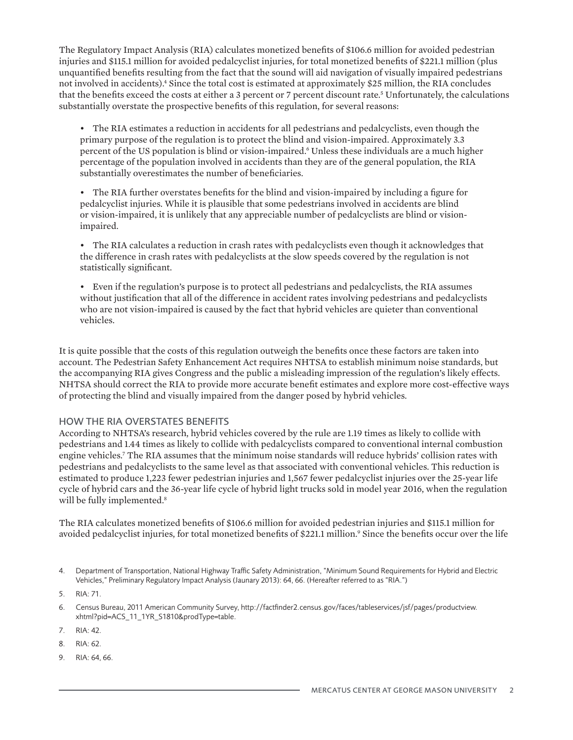The Regulatory Impact Analysis (RIA) calculates monetized benefits of \$106.6 million for avoided pedestrian injuries and \$115.1 million for avoided pedalcyclist injuries, for total monetized benefits of \$221.1 million (plus unquantified benefits resulting from the fact that the sound will aid navigation of visually impaired pedestrians not involved in accidents).<sup>4</sup> Since the total cost is estimated at approximately \$25 million, the RIA concludes that the benefits exceed the costs at either a 3 percent or 7 percent discount rate.<sup>5</sup> Unfortunately, the calculations substantially overstate the prospective benefits of this regulation, for several reasons:

• The RIA estimates a reduction in accidents for all pedestrians and pedalcyclists, even though the primary purpose of the regulation is to protect the blind and vision-impaired. Approximately 3.3 percent of the US population is blind or vision-impaired.<sup>6</sup> Unless these individuals are a much higher percentage of the population involved in accidents than they are of the general population, the RIA substantially overestimates the number of beneficiaries.

• The RIA further overstates benefits for the blind and vision-impaired by including a figure for pedalcyclist injuries. While it is plausible that some pedestrians involved in accidents are blind or vision-impaired, it is unlikely that any appreciable number of pedalcyclists are blind or visionimpaired.

• The RIA calculates a reduction in crash rates with pedalcyclists even though it acknowledges that the difference in crash rates with pedalcyclists at the slow speeds covered by the regulation is not statistically significant.

• Even if the regulation's purpose is to protect all pedestrians and pedalcyclists, the RIA assumes without justification that all of the difference in accident rates involving pedestrians and pedalcyclists who are not vision-impaired is caused by the fact that hybrid vehicles are quieter than conventional vehicles.

It is quite possible that the costs of this regulation outweigh the benefits once these factors are taken into account. The Pedestrian Safety Enhancement Act requires NHTSA to establish minimum noise standards, but the accompanying RIA gives Congress and the public a misleading impression of the regulation's likely effects. NHTSA should correct the RIA to provide more accurate benefit estimates and explore more cost-effective ways of protecting the blind and visually impaired from the danger posed by hybrid vehicles.

# HOW THE RIA OVERSTATES BENEFITS

According to NHTSA's research, hybrid vehicles covered by the rule are 1.19 times as likely to collide with pedestrians and 1.44 times as likely to collide with pedalcyclists compared to conventional internal combustion engine vehicles.7 The RIA assumes that the minimum noise standards will reduce hybrids' collision rates with pedestrians and pedalcyclists to the same level as that associated with conventional vehicles. This reduction is estimated to produce 1,223 fewer pedestrian injuries and 1,567 fewer pedalcyclist injuries over the 25-year life cycle of hybrid cars and the 36-year life cycle of hybrid light trucks sold in model year 2016, when the regulation will be fully implemented.<sup>8</sup>

The RIA calculates monetized benefits of \$106.6 million for avoided pedestrian injuries and \$115.1 million for avoided pedalcyclist injuries, for total monetized benefits of \$221.1 million.<sup>9</sup> Since the benefits occur over the life

- 7. RIA: 42.
- 8. RIA: 62.
- 9. RIA: 64, 66.

<sup>4.</sup> Department of Transportation, National Highway Traffic Safety Administration, "Minimum Sound Requirements for Hybrid and Electric Vehicles," Preliminary Regulatory Impact Analysis (Jaunary 2013): 64, 66. (Hereafter referred to as "RIA.")

<sup>5.</sup> RIA: 71.

<sup>6.</sup> Census Bureau, 2011 American Community Survey, http://factfinder2.census.gov/faces/tableservices/jsf/pages/productview. xhtml?pid=ACS\_11\_1YR\_S1810&prodType=table.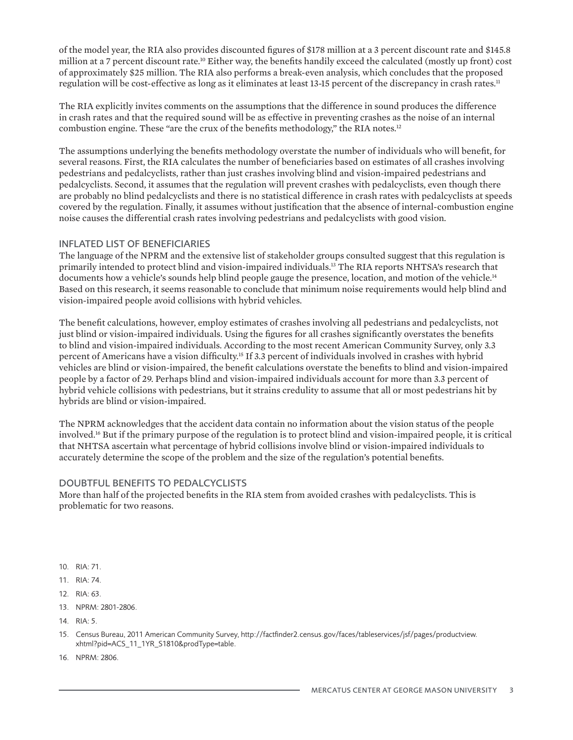of the model year, the RIA also provides discounted figures of \$178 million at a 3 percent discount rate and \$145.8 million at a 7 percent discount rate.<sup>10</sup> Either way, the benefits handily exceed the calculated (mostly up front) cost of approximately \$25 million. The RIA also performs a break-even analysis, which concludes that the proposed regulation will be cost-effective as long as it eliminates at least 13-15 percent of the discrepancy in crash rates.<sup>11</sup>

The RIA explicitly invites comments on the assumptions that the difference in sound produces the difference in crash rates and that the required sound will be as effective in preventing crashes as the noise of an internal combustion engine. These "are the crux of the benefits methodology," the RIA notes.<sup>12</sup>

The assumptions underlying the benefits methodology overstate the number of individuals who will benefit, for several reasons. First, the RIA calculates the number of beneficiaries based on estimates of all crashes involving pedestrians and pedalcyclists, rather than just crashes involving blind and vision-impaired pedestrians and pedalcyclists. Second, it assumes that the regulation will prevent crashes with pedalcyclists, even though there are probably no blind pedalcyclists and there is no statistical difference in crash rates with pedalcyclists at speeds covered by the regulation. Finally, it assumes without justification that the absence of internal-combustion engine noise causes the differential crash rates involving pedestrians and pedalcyclists with good vision.

#### INFLATED LIST OF BENEFICIARIES

The language of the NPRM and the extensive list of stakeholder groups consulted suggest that this regulation is primarily intended to protect blind and vision-impaired individuals.<sup>13</sup> The RIA reports NHTSA's research that documents how a vehicle's sounds help blind people gauge the presence, location, and motion of the vehicle.<sup>14</sup> Based on this research, it seems reasonable to conclude that minimum noise requirements would help blind and vision-impaired people avoid collisions with hybrid vehicles.

The benefit calculations, however, employ estimates of crashes involving all pedestrians and pedalcyclists, not just blind or vision-impaired individuals. Using the figures for all crashes significantly overstates the benefits to blind and vision-impaired individuals. According to the most recent American Community Survey, only 3.3 percent of Americans have a vision difficulty.15 If 3.3 percent of individuals involved in crashes with hybrid vehicles are blind or vision-impaired, the benefit calculations overstate the benefits to blind and vision-impaired people by a factor of 29. Perhaps blind and vision-impaired individuals account for more than 3.3 percent of hybrid vehicle collisions with pedestrians, but it strains credulity to assume that all or most pedestrians hit by hybrids are blind or vision-impaired.

The NPRM acknowledges that the accident data contain no information about the vision status of the people involved.16 But if the primary purpose of the regulation is to protect blind and vision-impaired people, it is critical that NHTSA ascertain what percentage of hybrid collisions involve blind or vision-impaired individuals to accurately determine the scope of the problem and the size of the regulation's potential benefits.

# DOUBTFUL BENEFITS TO PEDALCYCLISTS

More than half of the projected benefits in the RIA stem from avoided crashes with pedalcyclists. This is problematic for two reasons.

- 10. RIA: 71.
- 11. RIA: 74.
- 12. RIA: 63.
- 13. NPRM: 2801-2806.
- 14. RIA: 5.
- 15. Census Bureau, 2011 American Community Survey, http://factfinder2.census.gov/faces/tableservices/jsf/pages/productview. xhtml?pid=ACS\_11\_1YR\_S1810&prodType=table.
- 16. NPRM: 2806.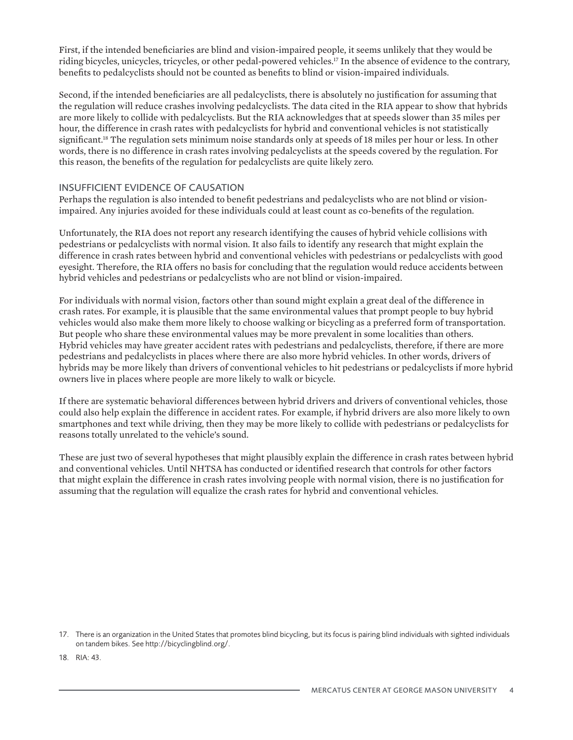First, if the intended beneficiaries are blind and vision-impaired people, it seems unlikely that they would be riding bicycles, unicycles, tricycles, or other pedal-powered vehicles.<sup>17</sup> In the absence of evidence to the contrary, benefits to pedalcyclists should not be counted as benefits to blind or vision-impaired individuals.

Second, if the intended beneficiaries are all pedalcyclists, there is absolutely no justification for assuming that the regulation will reduce crashes involving pedalcyclists. The data cited in the RIA appear to show that hybrids are more likely to collide with pedalcyclists. But the RIA acknowledges that at speeds slower than 35 miles per hour, the difference in crash rates with pedalcyclists for hybrid and conventional vehicles is not statistically significant.<sup>18</sup> The regulation sets minimum noise standards only at speeds of 18 miles per hour or less. In other words, there is no difference in crash rates involving pedalcyclists at the speeds covered by the regulation. For this reason, the benefits of the regulation for pedalcyclists are quite likely zero.

#### INSUFFICIENT EVIDENCE OF CAUSATION

Perhaps the regulation is also intended to benefit pedestrians and pedalcyclists who are not blind or visionimpaired. Any injuries avoided for these individuals could at least count as co-benefits of the regulation.

Unfortunately, the RIA does not report any research identifying the causes of hybrid vehicle collisions with pedestrians or pedalcyclists with normal vision. It also fails to identify any research that might explain the difference in crash rates between hybrid and conventional vehicles with pedestrians or pedalcyclists with good eyesight. Therefore, the RIA offers no basis for concluding that the regulation would reduce accidents between hybrid vehicles and pedestrians or pedalcyclists who are not blind or vision-impaired.

For individuals with normal vision, factors other than sound might explain a great deal of the difference in crash rates. For example, it is plausible that the same environmental values that prompt people to buy hybrid vehicles would also make them more likely to choose walking or bicycling as a preferred form of transportation. But people who share these environmental values may be more prevalent in some localities than others. Hybrid vehicles may have greater accident rates with pedestrians and pedalcyclists, therefore, if there are more pedestrians and pedalcyclists in places where there are also more hybrid vehicles. In other words, drivers of hybrids may be more likely than drivers of conventional vehicles to hit pedestrians or pedalcyclists if more hybrid owners live in places where people are more likely to walk or bicycle.

If there are systematic behavioral differences between hybrid drivers and drivers of conventional vehicles, those could also help explain the difference in accident rates. For example, if hybrid drivers are also more likely to own smartphones and text while driving, then they may be more likely to collide with pedestrians or pedalcyclists for reasons totally unrelated to the vehicle's sound.

These are just two of several hypotheses that might plausibly explain the difference in crash rates between hybrid and conventional vehicles. Until NHTSA has conducted or identified research that controls for other factors that might explain the difference in crash rates involving people with normal vision, there is no justification for assuming that the regulation will equalize the crash rates for hybrid and conventional vehicles.

18. RIA: 43.

<sup>17.</sup> There is an organization in the United States that promotes blind bicycling, but its focus is pairing blind individuals with sighted individuals on tandem bikes. See http://bicyclingblind.org/.